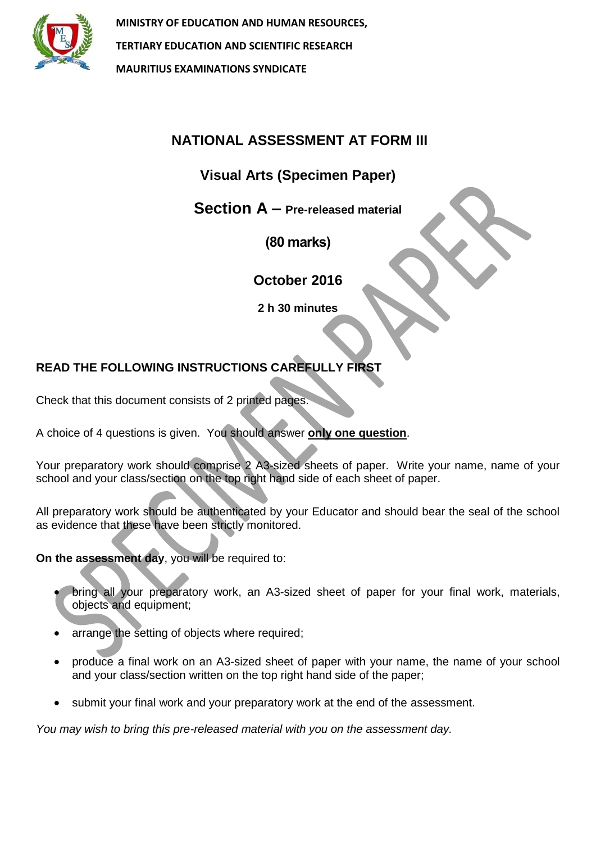

**MINISTRY OF EDUCATION AND HUMAN RESOURCES, TERTIARY EDUCATION AND SCIENTIFIC RESEARCH MAURITIUS EXAMINATIONS SYNDICATE**

# **NATIONAL ASSESSMENT AT FORM III**

## **Visual Arts (Specimen Paper)**

**Section A – Pre-released material**

**(80 marks)**

**October 2016**

**2 h 30 minutes**

## **READ THE FOLLOWING INSTRUCTIONS CAREFULLY FIRST**

Check that this document consists of 2 printed pages.

A choice of 4 questions is given. You should answer **only one question**.

Your preparatory work should comprise 2 A3-sized sheets of paper. Write your name, name of your school and your class/section on the top right hand side of each sheet of paper.

All preparatory work should be authenticated by your Educator and should bear the seal of the school as evidence that these have been strictly monitored.

**On the assessment day**, you will be required to:

- bring all your preparatory work, an A3-sized sheet of paper for your final work, materials, objects and equipment;
- arrange the setting of objects where required;
- produce a final work on an A3-sized sheet of paper with your name, the name of your school and your class/section written on the top right hand side of the paper;
- submit your final work and your preparatory work at the end of the assessment.

*You may wish to bring this pre-released material with you on the assessment day.*